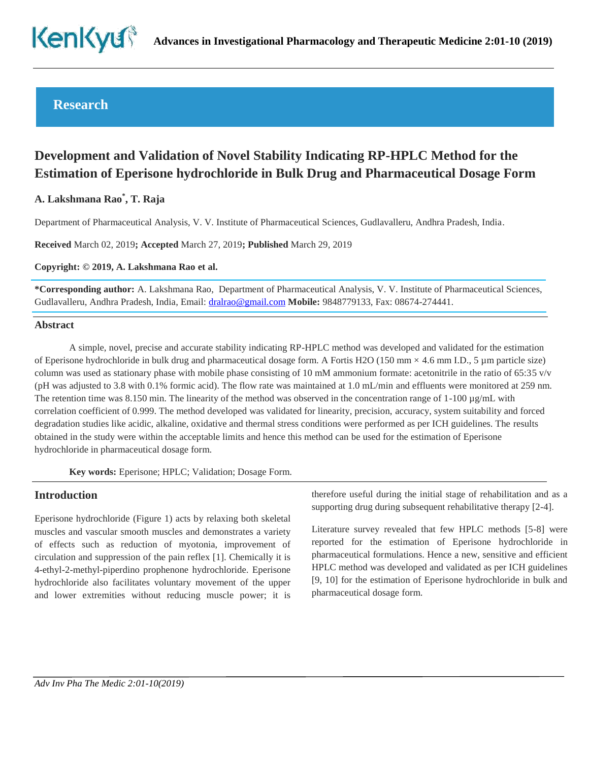

# **Research**

# **Development and Validation of Novel Stability Indicating RP-HPLC Method for the Estimation of Eperisone hydrochloride in Bulk Drug and Pharmaceutical Dosage Form**

# **A. Lakshmana Rao\* , T. Raja**

Department of Pharmaceutical Analysis, V. V. Institute of Pharmaceutical Sciences, Gudlavalleru, Andhra Pradesh, India.

**Received** March 02, 2019**; Accepted** March 27, 2019**; Published** March 29, 2019

**Copyright: © 2019, A. Lakshmana Rao et al.**

**\*Corresponding author:** A. Lakshmana Rao, Department of Pharmaceutical Analysis, V. V. Institute of Pharmaceutical Sciences, Gudlavalleru, Andhra Pradesh, India, Email: [dralrao@gmail.com](mailto:dralrao@gmail.com) **Mobile:** 9848779133, Fax: 08674-274441.

#### **Abstract**

A simple, novel, precise and accurate stability indicating RP-HPLC method was developed and validated for the estimation of Eperisone hydrochloride in bulk drug and pharmaceutical dosage form. A Fortis H2O (150 mm  $\times$  4.6 mm I.D., 5 µm particle size) column was used as stationary phase with mobile phase consisting of 10 mM ammonium formate: acetonitrile in the ratio of 65:35  $v/v$ (pH was adjusted to 3.8 with 0.1% formic acid). The flow rate was maintained at 1.0 mL/min and effluents were monitored at 259 nm. The retention time was 8.150 min. The linearity of the method was observed in the concentration range of  $1-100 \mu g/mL$  with correlation coefficient of 0.999. The method developed was validated for linearity, precision, accuracy, system suitability and forced degradation studies like acidic, alkaline, oxidative and thermal stress conditions were performed as per ICH guidelines. The results obtained in the study were within the acceptable limits and hence this method can be used for the estimation of Eperisone hydrochloride in pharmaceutical dosage form.

**Key words:** Eperisone; HPLC; Validation; Dosage Form.

#### **Introduction**

Eperisone hydrochloride (Figure 1) acts by relaxing both skeletal muscles and vascular smooth muscles and demonstrates a variety of effects such as reduction of myotonia, improvement of circulation and suppression of the pain reflex [1]. Chemically it is 4-ethyl-2-methyl-piperdino prophenone hydrochloride. Eperisone hydrochloride also facilitates voluntary movement of the upper and lower extremities without reducing muscle power; it is therefore useful during the initial stage of rehabilitation and as a supporting drug during subsequent rehabilitative therapy [2-4].

Literature survey revealed that few HPLC methods [5-8] were reported for the estimation of Eperisone hydrochloride in pharmaceutical formulations. Hence a new, sensitive and efficient HPLC method was developed and validated as per ICH guidelines [9, 10] for the estimation of Eperisone hydrochloride in bulk and pharmaceutical dosage form.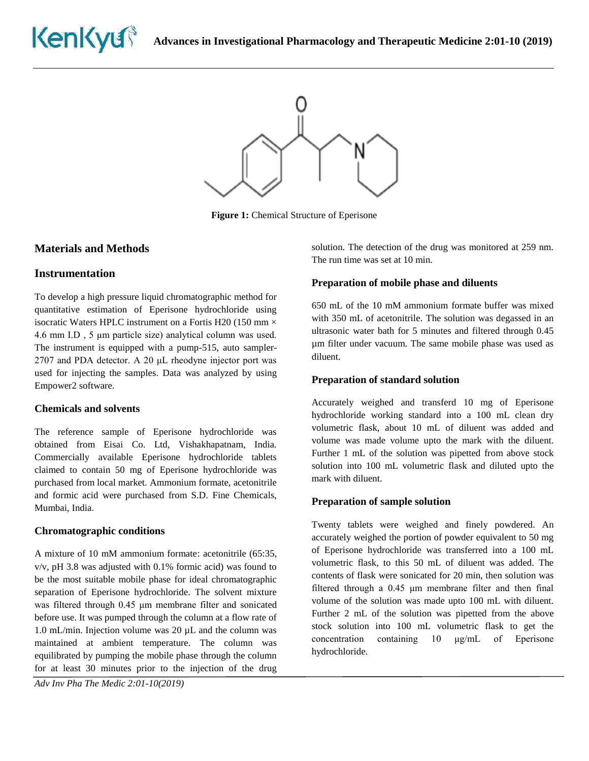



**Figure 1:** Chemical Structure of Eperisone

# **Materials and Methods**

#### **Instrumentation**

To develop a high pressure liquid chromatographic method for quantitative estimation of Eperisone hydrochloride using isocratic Waters HPLC instrument on a Fortis H20 (150 mm  $\times$ 4.6 mm I.D , 5 μm particle size) analytical column was used. The instrument is equipped with a pump-515, auto sampler-2707 and PDA detector. A 20 μL rheodyne injector port was used for injecting the samples. Data was analyzed by using Empower2 software.

#### **Chemicals and solvents**

The reference sample of Eperisone hydrochloride was obtained from Eisai Co. Ltd, Vishakhapatnam, India. Commercially available Eperisone hydrochloride tablets claimed to contain 50 mg of Eperisone hydrochloride was purchased from local market. Ammonium formate, acetonitrile and formic acid were purchased from S.D. Fine Chemicals, Mumbai, India.

#### **Chromatographic conditions**

A mixture of 10 mM ammonium formate: acetonitrile (65:35, v/v, pH 3.8 was adjusted with 0.1% formic acid) was found to be the most suitable mobile phase for ideal chromatographic separation of Eperisone hydrochloride. The solvent mixture was filtered through 0.45 μm membrane filter and sonicated before use. It was pumped through the column at a flow rate of 1.0 mL/min. Injection volume was 20 µL and the column was maintained at ambient temperature. The column was equilibrated by pumping the mobile phase through the column for at least 30 minutes prior to the injection of the drug

*Adv Inv Pha The Medic 2:01-10(2019)* 

solution. The detection of the drug was monitored at 259 nm. The run time was set at 10 min.

#### **Preparation of mobile phase and diluents**

650 mL of the 10 mM ammonium formate buffer was mixed with 350 mL of acetonitrile. The solution was degassed in an ultrasonic water bath for 5 minutes and filtered through 0.45 µm filter under vacuum. The same mobile phase was used as diluent.

#### **Preparation of standard solution**

Accurately weighed and transferd 10 mg of Eperisone hydrochloride working standard into a 100 mL clean dry volumetric flask, about 10 mL of diluent was added and volume was made volume upto the mark with the diluent. Further 1 mL of the solution was pipetted from above stock solution into 100 mL volumetric flask and diluted upto the mark with diluent.

#### **Preparation of sample solution**

Twenty tablets were weighed and finely powdered. An accurately weighed the portion of powder equivalent to 50 mg of Eperisone hydrochloride was transferred into a 100 mL volumetric flask, to this 50 mL of diluent was added. The contents of flask were sonicated for 20 min, then solution was filtered through a 0.45 μm membrane filter and then final volume of the solution was made upto 100 mL with diluent. Further 2 mL of the solution was pipetted from the above stock solution into 100 mL volumetric flask to get the concentration containing 10 μg/mL of Eperisone hydrochloride.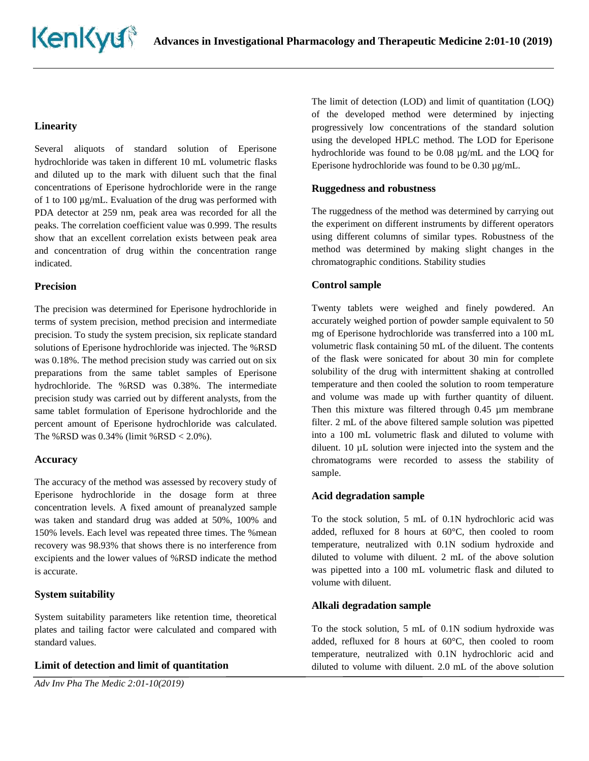# **Linearity**

Several aliquots of standard solution of Eperisone hydrochloride was taken in different 10 mL volumetric flasks and diluted up to the mark with diluent such that the final concentrations of Eperisone hydrochloride were in the range of 1 to 100 µg/mL. Evaluation of the drug was performed with PDA detector at 259 nm, peak area was recorded for all the peaks. The correlation coefficient value was 0.999. The results show that an excellent correlation exists between peak area and concentration of drug within the concentration range indicated.

#### **Precision**

The precision was determined for Eperisone hydrochloride in terms of system precision, method precision and intermediate precision. To study the system precision, six replicate standard solutions of Eperisone hydrochloride was injected. The %RSD was 0.18%. The method precision study was carried out on six preparations from the same tablet samples of Eperisone hydrochloride. The %RSD was 0.38%. The intermediate precision study was carried out by different analysts, from the same tablet formulation of Eperisone hydrochloride and the percent amount of Eperisone hydrochloride was calculated. The %RSD was  $0.34%$  (limit %RSD <  $2.0%$ ).

#### **Accuracy**

The accuracy of the method was assessed by recovery study of Eperisone hydrochloride in the dosage form at three concentration levels. A fixed amount of preanalyzed sample was taken and standard drug was added at 50%, 100% and 150% levels. Each level was repeated three times. The %mean recovery was 98.93% that shows there is no interference from excipients and the lower values of %RSD indicate the method is accurate.

#### **System suitability**

System suitability parameters like retention time, theoretical plates and tailing factor were calculated and compared with standard values.

#### **Limit of detection and limit of quantitation**

*Adv Inv Pha The Medic 2:01-10(2019)* 

The limit of detection (LOD) and limit of quantitation (LOQ) of the developed method were determined by injecting progressively low concentrations of the standard solution using the developed HPLC method. The LOD for Eperisone hydrochloride was found to be 0.08 µg/mL and the LOQ for Eperisone hydrochloride was found to be 0.30 µg/mL.

## **Ruggedness and robustness**

The ruggedness of the method was determined by carrying out the experiment on different instruments by different operators using different columns of similar types. Robustness of the method was determined by making slight changes in the chromatographic conditions. Stability studies

# **Control sample**

Twenty tablets were weighed and finely powdered. An accurately weighed portion of powder sample equivalent to 50 mg of Eperisone hydrochloride was transferred into a 100 mL volumetric flask containing 50 mL of the diluent. The contents of the flask were sonicated for about 30 min for complete solubility of the drug with intermittent shaking at controlled temperature and then cooled the solution to room temperature and volume was made up with further quantity of diluent. Then this mixture was filtered through 0.45 µm membrane filter. 2 mL of the above filtered sample solution was pipetted into a 100 mL volumetric flask and diluted to volume with diluent. 10 µL solution were injected into the system and the chromatograms were recorded to assess the stability of sample.

#### **Acid degradation sample**

To the stock solution, 5 mL of 0.1N hydrochloric acid was added, refluxed for 8 hours at 60°C, then cooled to room temperature, neutralized with 0.1N sodium hydroxide and diluted to volume with diluent. 2 mL of the above solution was pipetted into a 100 mL volumetric flask and diluted to volume with diluent.

#### **Alkali degradation sample**

To the stock solution, 5 mL of 0.1N sodium hydroxide was added, refluxed for 8 hours at 60°C, then cooled to room temperature, neutralized with 0.1N hydrochloric acid and diluted to volume with diluent. 2.0 mL of the above solution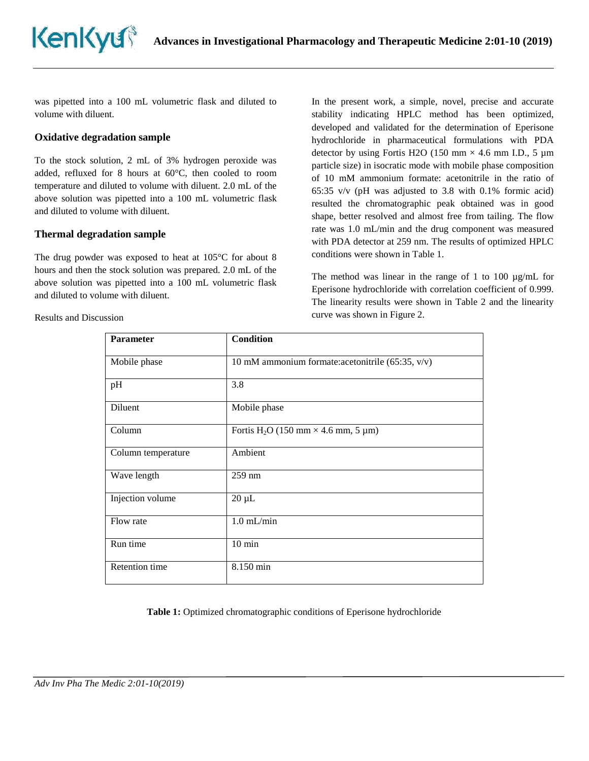was pipetted into a 100 mL volumetric flask and diluted to volume with diluent.

#### **Oxidative degradation sample**

To the stock solution, 2 mL of 3% hydrogen peroxide was added, refluxed for 8 hours at 60°C, then cooled to room temperature and diluted to volume with diluent. 2.0 mL of the above solution was pipetted into a 100 mL volumetric flask and diluted to volume with diluent.

#### **Thermal degradation sample**

The drug powder was exposed to heat at 105°C for about 8 hours and then the stock solution was prepared. 2.0 mL of the above solution was pipetted into a 100 mL volumetric flask and diluted to volume with diluent.

Results and Discussion

In the present work, a simple, novel, precise and accurate stability indicating HPLC method has been optimized, developed and validated for the determination of Eperisone hydrochloride in pharmaceutical formulations with PDA detector by using Fortis H2O (150 mm  $\times$  4.6 mm I.D., 5 µm particle size) in isocratic mode with mobile phase composition of 10 mM ammonium formate: acetonitrile in the ratio of 65:35 v/v (pH was adjusted to 3.8 with 0.1% formic acid) resulted the chromatographic peak obtained was in good shape, better resolved and almost free from tailing. The flow rate was 1.0 mL/min and the drug component was measured with PDA detector at 259 nm. The results of optimized HPLC conditions were shown in Table 1.

The method was linear in the range of 1 to 100  $\mu$ g/mL for Eperisone hydrochloride with correlation coefficient of 0.999. The linearity results were shown in Table 2 and the linearity curve was shown in Figure 2.

| <b>Parameter</b>   | <b>Condition</b>                                       |
|--------------------|--------------------------------------------------------|
| Mobile phase       | 10 mM ammonium formate: acetonitrile (65:35, v/v)      |
| pH                 | 3.8                                                    |
| Diluent            | Mobile phase                                           |
| Column             | Fortis H <sub>2</sub> O (150 mm $\times$ 4.6 mm, 5 µm) |
| Column temperature | Ambient                                                |
| Wave length        | 259 nm                                                 |
| Injection volume   | $20 \mu L$                                             |
| Flow rate          | $1.0$ mL/min                                           |
| Run time           | $10 \text{ min}$                                       |
| Retention time     | 8.150 min                                              |

**Table 1:** Optimized chromatographic conditions of Eperisone hydrochloride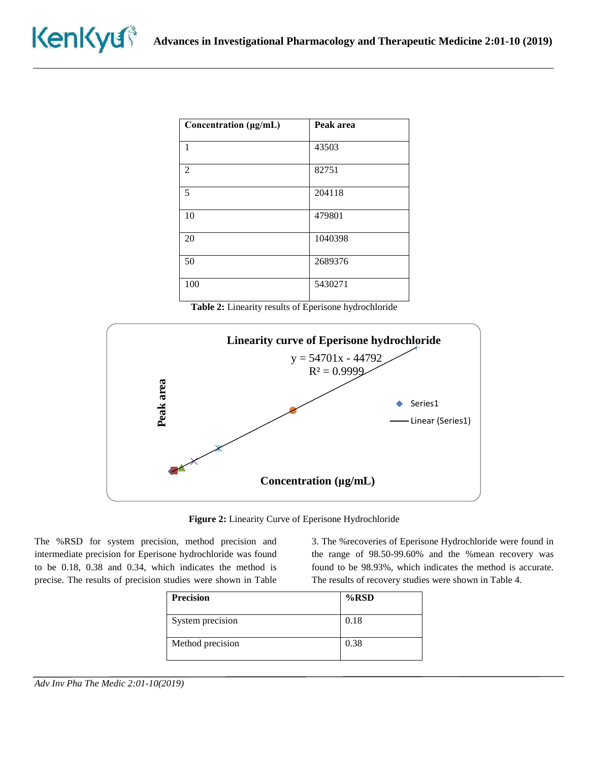| Concentration (µg/mL) | Peak area |
|-----------------------|-----------|
| 1                     | 43503     |
| $\overline{2}$        | 82751     |
| 5                     | 204118    |
| 10                    | 479801    |
| 20                    | 1040398   |
| 50                    | 2689376   |
| 100                   | 5430271   |

**Table 2:** Linearity results of Eperisone hydrochloride





The %RSD for system precision, method precision and intermediate precision for Eperisone hydrochloride was found to be 0.18, 0.38 and 0.34, which indicates the method is precise. The results of precision studies were shown in Table

3. The %recoveries of Eperisone Hydrochloride were found in the range of 98.50-99.60% and the %mean recovery was found to be 98.93%, which indicates the method is accurate. The results of recovery studies were shown in Table 4.

| <b>Precision</b> | $%$ RSD |
|------------------|---------|
| System precision | 0.18    |
| Method precision | 0.38    |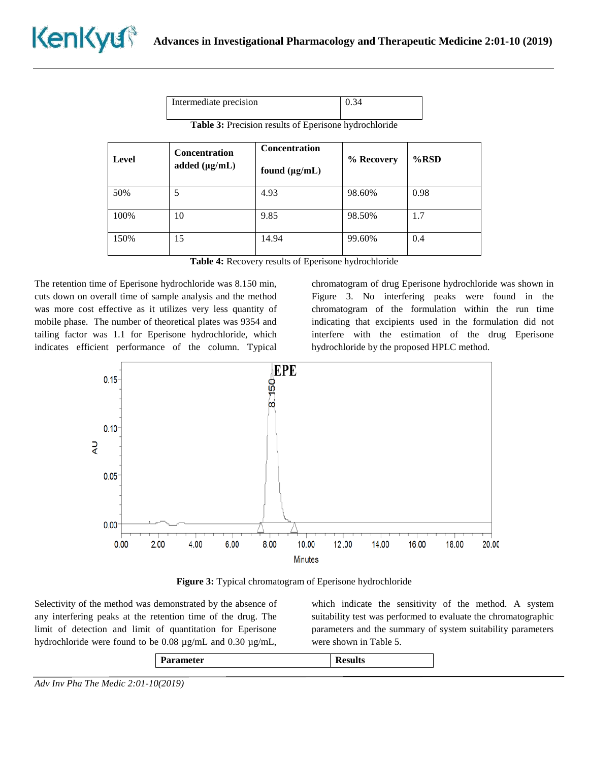|                                                              | Intermediate precision                     |                                            | 0.34       |         |
|--------------------------------------------------------------|--------------------------------------------|--------------------------------------------|------------|---------|
| <b>Table 3:</b> Precision results of Eperisone hydrochloride |                                            |                                            |            |         |
| Level                                                        | <b>Concentration</b><br>added $(\mu g/mL)$ | <b>Concentration</b><br>found $(\mu g/mL)$ | % Recovery | $%$ RSD |
| 50%                                                          | 5                                          | 4.93                                       | 98.60%     | 0.98    |
| 100%                                                         | 10                                         | 9.85                                       | 98.50%     | 1.7     |
| 150%                                                         | 15                                         | 14.94                                      | 99.60%     | 0.4     |

**Table 4:** Recovery results of Eperisone hydrochloride

The retention time of Eperisone hydrochloride was 8.150 min, cuts down on overall time of sample analysis and the method was more cost effective as it utilizes very less quantity of mobile phase. The number of theoretical plates was 9354 and tailing factor was 1.1 for Eperisone hydrochloride, which indicates efficient performance of the column. Typical chromatogram of drug Eperisone hydrochloride was shown in Figure 3. No interfering peaks were found in the chromatogram of the formulation within the run time indicating that excipients used in the formulation did not interfere with the estimation of the drug Eperisone hydrochloride by the proposed HPLC method.



**Figure 3:** Typical chromatogram of Eperisone hydrochloride

Selectivity of the method was demonstrated by the absence of any interfering peaks at the retention time of the drug. The limit of detection and limit of quantitation for Eperisone hydrochloride were found to be 0.08 µg/mL and 0.30 µg/mL, which indicate the sensitivity of the method. A system suitability test was performed to evaluate the chromatographic parameters and the summary of system suitability parameters were shown in Table 5.

| <b>Parameter</b><br><b>Results</b> |
|------------------------------------|
|------------------------------------|

*Adv Inv Pha The Medic 2:01-10(2019)*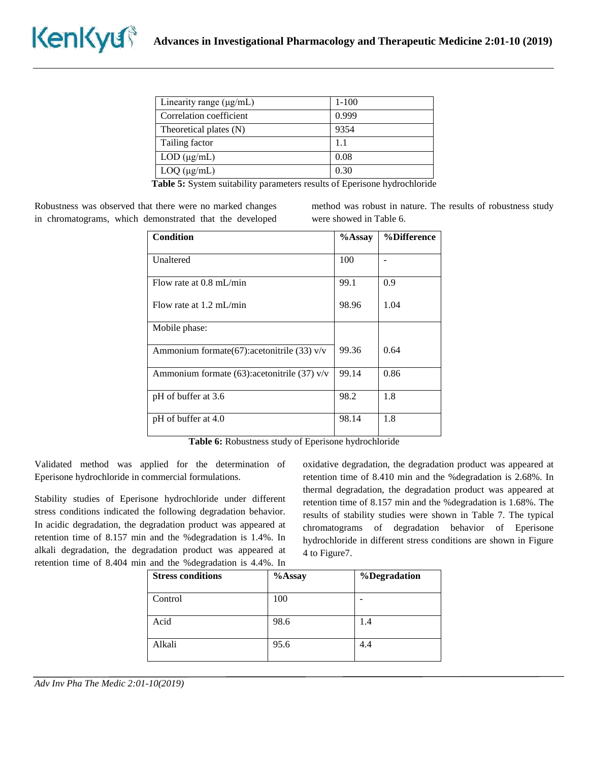| Linearity range $(\mu g/mL)$ | $1-100$ |
|------------------------------|---------|
| Correlation coefficient      | 0.999   |
| Theoretical plates (N)       | 9354    |
| Tailing factor               | 1.1     |
| $LOD$ ( $\mu$ g/mL)          | 0.08    |
| $LOQ$ ( $\mu$ g/mL)          | 0.30    |

**Table 5:** System suitability parameters results of Eperisone hydrochloride

Robustness was observed that there were no marked changes in chromatograms, which demonstrated that the developed method was robust in nature. The results of robustness study were showed in Table 6.

| <b>Condition</b>                                  | $%$ Assay | %Difference |
|---------------------------------------------------|-----------|-------------|
| Unaltered                                         | 100       |             |
| Flow rate at $0.8 \text{ mL/min}$                 | 99.1      | 0.9         |
| Flow rate at $1.2 \text{ mL/min}$                 | 98.96     | 1.04        |
| Mobile phase:                                     |           |             |
| Ammonium formate $(67)$ : acetonitrile $(33)$ v/v | 99.36     | 0.64        |
| Ammonium formate $(63)$ : acetonitrile $(37)$ v/v | 99.14     | 0.86        |
| pH of buffer at 3.6                               | 98.2      | 1.8         |
| pH of buffer at 4.0                               | 98.14     | 1.8         |

**Table 6:** Robustness study of Eperisone hydrochloride

Validated method was applied for the determination of Eperisone hydrochloride in commercial formulations.

Stability studies of Eperisone hydrochloride under different stress conditions indicated the following degradation behavior. In acidic degradation, the degradation product was appeared at retention time of 8.157 min and the %degradation is 1.4%. In alkali degradation, the degradation product was appeared at retention time of 8.404 min and the %degradation is 4.4%. In

oxidative degradation, the degradation product was appeared at retention time of 8.410 min and the %degradation is 2.68%. In thermal degradation, the degradation product was appeared at retention time of 8.157 min and the %degradation is 1.68%. The results of stability studies were shown in Table 7. The typical chromatograms of degradation behavior of Eperisone hydrochloride in different stress conditions are shown in Figure 4 to Figure7.

| <b>Stress conditions</b> | %Assay | %Degradation |
|--------------------------|--------|--------------|
| Control                  | 100    |              |
| Acid                     | 98.6   | 1.4          |
| Alkali                   | 95.6   | 4.4          |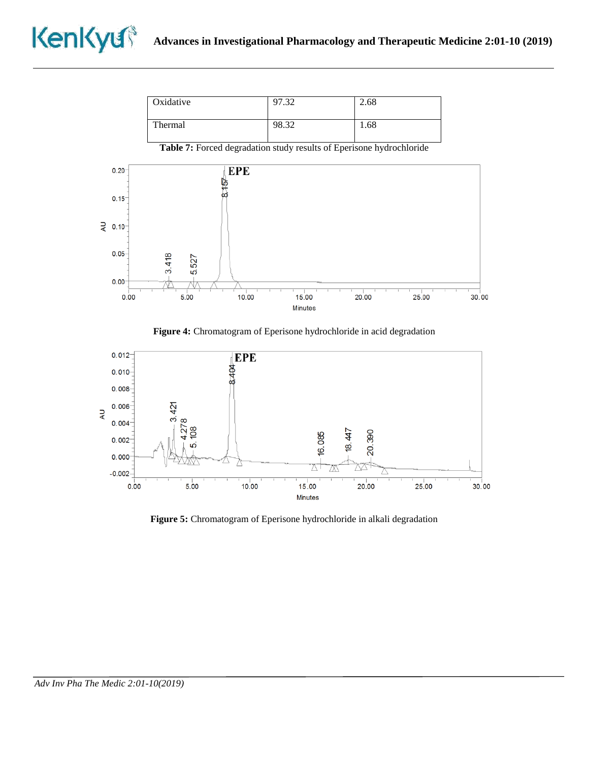| Oxidative | 97.32 | 2.68 |
|-----------|-------|------|
| Thermal   | 98.32 | 1.68 |

**Table 7:** Forced degradation study results of Eperisone hydrochloride



**Figure 4:** Chromatogram of Eperisone hydrochloride in acid degradation



**Figure 5:** Chromatogram of Eperisone hydrochloride in alkali degradation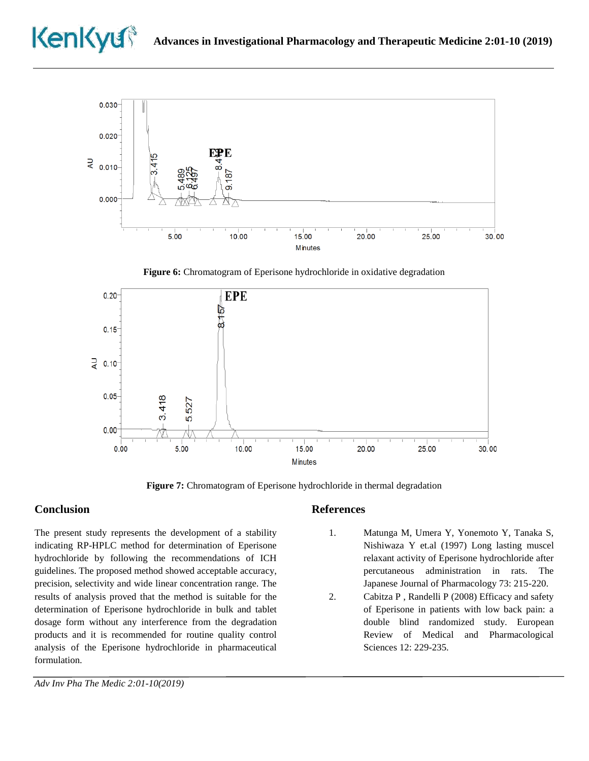



**Figure 6:** Chromatogram of Eperisone hydrochloride in oxidative degradation



**Figure 7:** Chromatogram of Eperisone hydrochloride in thermal degradation

# **Conclusion**

The present study represents the development of a stability indicating RP-HPLC method for determination of Eperisone hydrochloride by following the recommendations of ICH guidelines. The proposed method showed acceptable accuracy, precision, selectivity and wide linear concentration range. The results of analysis proved that the method is suitable for the determination of Eperisone hydrochloride in bulk and tablet dosage form without any interference from the degradation products and it is recommended for routine quality control analysis of the Eperisone hydrochloride in pharmaceutical formulation.

# **References**

- 1. Matunga M, Umera Y, Yonemoto Y, Tanaka S, Nishiwaza Y et.al (1997) Long lasting muscel relaxant activity of Eperisone hydrochloride after percutaneous administration in rats. The Japanese Journal of Pharmacology 73: 215-220.
- 2. Cabitza P , Randelli P (2008) Efficacy and safety of Eperisone in patients with low back pain: a double blind randomized study. European Review of Medical and Pharmacological Sciences 12: 229-235.